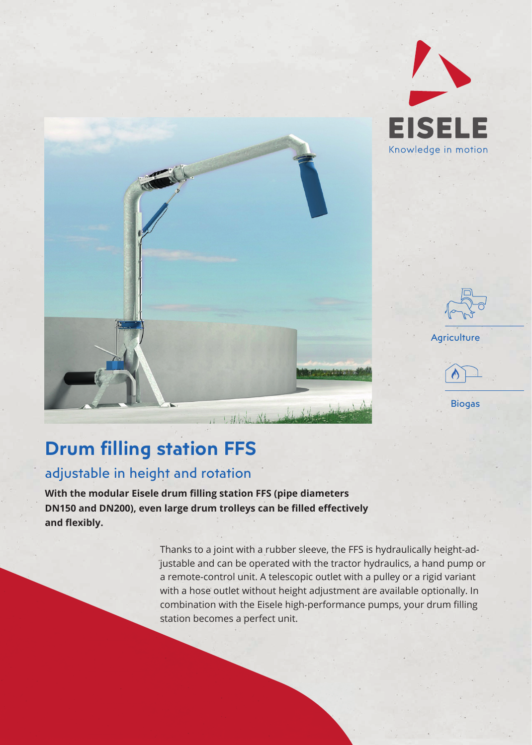

11 White Stewart 1944





## **Drum filling station FFS**

## adjustable in height and rotation

**With the modular Eisele drum filling station FFS (pipe diameters DN150 and DN200), even large drum trolleys can be filled effectively** and flexibly.

> Thanks to a joint with a rubber sleeve, the FFS is hydraulically height-adjustable and can be operated with the tractor hydraulics, a hand pump or a remote-control unit. A telescopic outlet with a pulley or a rigid variant with a hose outlet without height adjustment are available optionally. In combination with the Eisele high-performance pumps, your drum filling station becomes a perfect unit.